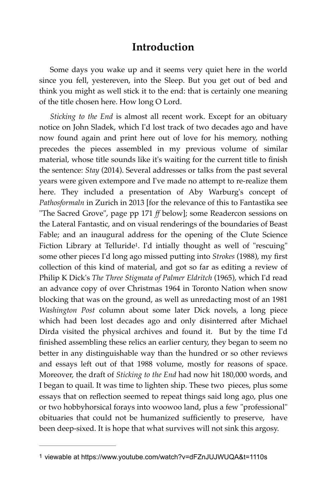## **Introduction**

Some days you wake up and it seems very quiet here in the world since you fell, yestereven, into the Sleep. But you get out of bed and think you might as well stick it to the end: that is certainly one meaning of the title chosen here. How long O Lord.

<span id="page-0-1"></span>*Sticking to the End* is almost all recent work. Except for an obituary notice on John Sladek, which I'd lost track of two decades ago and have now found again and print here out of love for his memory, nothing precedes the pieces assembled in my previous volume of similar material, whose title sounds like it's waiting for the current title to finish the sentence: *Stay* (2014). Several addresses or talks from the past several years were given extempore and I've made no attempt to re-realize them here. They included a presentation of Aby Warburg's concept of *Pathosformaln* in Zurich in 2013 [for the relevance of this to Fantastika see "The Sacred Grove", page pp 171 *ff* below]; some Readercon sessions on the Lateral Fantastic, and on visual renderings of the boundaries of Beast Fable; and an inaugural address for the opening of the Clute Science Fiction Library at Telluride<sup>[1](#page-0-0)</sup>. I'd intially thought as well of "rescuing" some other pieces I'd long ago missed putting into *Strokes* (1988), my first collection of this kind of material, and got so far as editing a review of Philip K Dick's *The Three Stigmata of Palmer Eldritch* (1965), which I'd read an advance copy of over Christmas 1964 in Toronto Nation when snow blocking that was on the ground, as well as unredacting most of an 1981 *Washington Post* column about some later Dick novels, a long piece which had been lost decades ago and only disinterred after Michael Dirda visited the physical archives and found it. But by the time I'd finished assembling these relics an earlier century, they began to seem no better in any distinguishable way than the hundred or so other reviews and essays left out of that 1988 volume, mostly for reasons of space. Moreover, the draft of *Sticking to the End* had now hit 180,000 words, and I began to quail. It was time to lighten ship. These two pieces, plus some essays that on reflection seemed to repeat things said long ago, plus one or two hobbyhorsical forays into woowoo land, plus a few "professional" obituaries that could not be humanized sufficiently to preserve, have been deep-sixed. It is hope that what survives will not sink this argosy.

<span id="page-0-0"></span>[<sup>1</sup>](#page-0-1) viewable at https://www.youtube.com/watch?v=dFZnJUJWUQA&t=1110s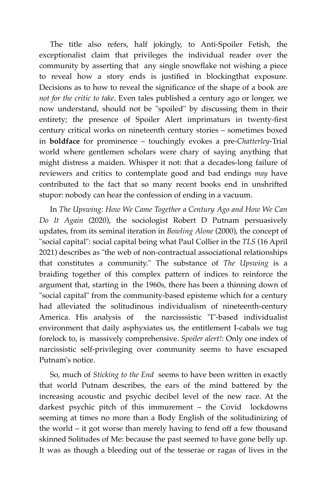The title also refers, half jokingly, to Anti-Spoiler Fetish, the exceptionalist claim that privileges the individual reader over the community by asserting that any single snowflake not wishing a piece to reveal how a story ends is justified in blockingthat exposure. Decisions as to how to reveal the significance of the shape of a book are *not for the critic to take*. Even tales published a century ago or longer, we now understand, should not be "spoiled" by discussing them in their entirety; the presence of Spoiler Alert imprimaturs in twenty-first century critical works on nineteenth century stories – sometimes boxed in **boldface** for prominence – touchingly evokes a pre-*Chatterley*-Trial world where gentlemen scholars were chary of saying anything that might distress a maiden. Whisper it not: that a decades-long failure of reviewers and critics to contemplate good and bad endings *may* have contributed to the fact that so many recent books end in unshrifted stupor: nobody can hear the confession of ending in a vacuum.

In *The Upswing: How We Came Together a Century Ago and How We Can Do It Again* (2020), the sociologist Robert D Putnam persuasively updates, from its seminal iteration in *Bowling Alone* (2000), the concept of "social capital": social capital being what Paul Collier in the *TLS* (16 April 2021) describes as "the web of non-contractual associational relationships that constitutes a community." The substance of *The Upswing* is a braiding together of this complex pattern of indices to reinforce the argument that, starting in the 1960s, there has been a thinning down of "social capital" from the community-based episteme which for a century had alleviated the solitudinous individualism of nineteenth-century America. His analysis of the narcisssistic "I"-based individualist environment that daily asphyxiates us, the entitlement I-cabals we tug forelock to, is massively comprehensive. *Spoiler alert!*: Only one index of narcissistic self-privileging over community seems to have escsaped Putnam's notice.

So, much of *Sticking to the End* seems to have been written in exactly that world Putnam describes, the ears of the mind battered by the increasing acoustic and psychic decibel level of the new race. At the darkest psychic pitch of this immurement – the Covid lockdowns seeming at times no more than a Body English of the solitudinizing of the world – it got worse than merely having to fend off a few thousand skinned Solitudes of Me: because the past seemed to have gone belly up. It was as though a bleeding out of the tesserae or ragas of lives in the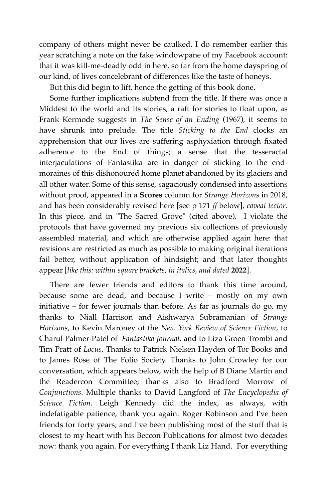company of others might never be caulked. I do remember earlier this year scratching a note on the fake windowpane of my Facebook account: that it was kill-me-deadly odd in here, so far from the home dayspring of our kind, of lives concelebrant of differences like the taste of honeys.

But this did begin to lift, hence the getting of this book done.

Some further implications subtend from the title. If there was once a Middest to the world and its stories, a raft for stories to float upon, as Frank Kermode suggests in *The Sense of an Ending* (1967), it seems to have shrunk into prelude. The title *Sticking to the End* clocks an apprehension that our lives are suffering asphyxiation through fixated adherence to the End of things; a sense that the tesseractal interjaculations of Fantastika are in danger of sticking to the endmoraines of this dishonoured home planet abandoned by its glaciers and all other water. Some of this sense, sagaciously condensed into assertions without proof, appeared in a **Scores** column for *Strange Horizons* in 2018, and has been considerably revised here [see p 171 *ff* below], *caveat lector*. In this piece, and in "The Sacred Grove" (cited above), I violate the protocols that have governed my previous six collections of previously assembled material, and which are otherwise applied again here: that revisions are restricted as much as possible to making original iterations fail better, without application of hindsight; and that later thoughts appear [*like this: within square brackets, in italics, and dated* **2022**].

There are fewer friends and editors to thank this time around, because some are dead, and because I write – mostly on my own initiative – for fewer journals than before. As far as journals do go, my thanks to Niall Harrison and Aishwarya Subramanian of *Strange Horizons*, to Kevin Maroney of the *New York Review of Science Fiction*, to Charul Palmer-Patel of *Fantastika Journal*, and to Liza Groen Trombi and Tim Pratt of *Locus*. Thanks to Patrick Nielsen Hayden of Tor Books and to James Rose of The Folio Society. Thanks to John Crowley for our conversation, which appears below, with the help of B Diane Martin and the Readercon Committee; thanks also to Bradford Morrow of *Conjunctions*. Multiple thanks to David Langford of *The Encyclopedia of Science Fiction*. Leigh Kennedy did the index, as always, with indefatigable patience, thank you again. Roger Robinson and I've been friends for forty years; and I've been publishing most of the stuff that is closest to my heart with his Beccon Publications for almost two decades now: thank you again. For everything I thank Liz Hand. For everything